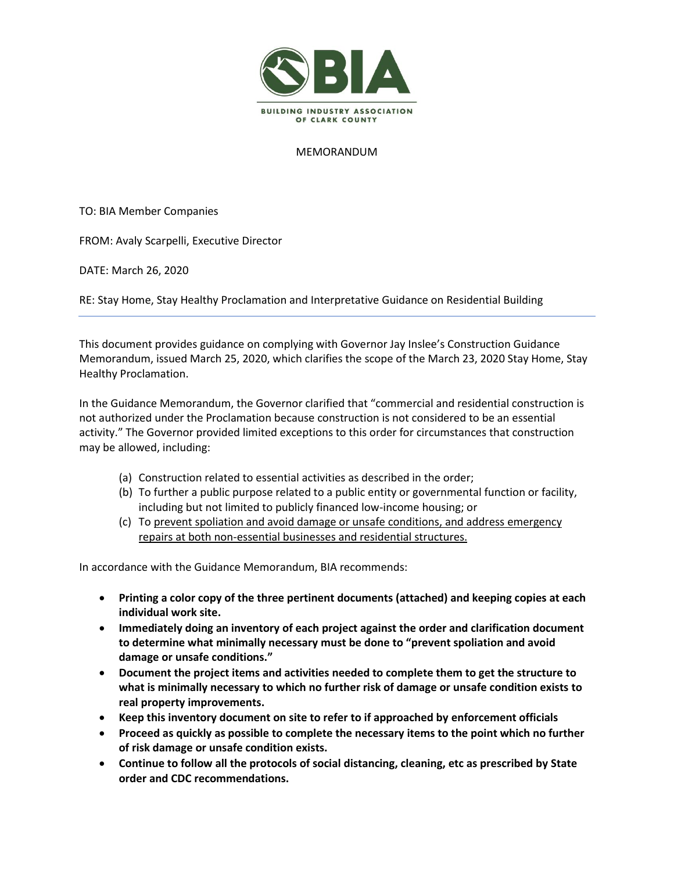

## MEMORANDUM

TO: BIA Member Companies

FROM: Avaly Scarpelli, Executive Director

DATE: March 26, 2020

RE: Stay Home, Stay Healthy Proclamation and Interpretative Guidance on Residential Building

This document provides guidance on complying with Governor Jay Inslee's Construction Guidance Memorandum, issued March 25, 2020, which clarifies the scope of the March 23, 2020 Stay Home, Stay Healthy Proclamation.

In the Guidance Memorandum, the Governor clarified that "commercial and residential construction is not authorized under the Proclamation because construction is not considered to be an essential activity." The Governor provided limited exceptions to this order for circumstances that construction may be allowed, including:

- (a) Construction related to essential activities as described in the order;
- (b) To further a public purpose related to a public entity or governmental function or facility, including but not limited to publicly financed low-income housing; or
- (c) To prevent spoliation and avoid damage or unsafe conditions, and address emergency repairs at both non-essential businesses and residential structures.

In accordance with the Guidance Memorandum, BIA recommends:

- **Printing a color copy of the three pertinent documents (attached) and keeping copies at each individual work site.**
- **Immediately doing an inventory of each project against the order and clarification document to determine what minimally necessary must be done to "prevent spoliation and avoid damage or unsafe conditions."**
- **Document the project items and activities needed to complete them to get the structure to what is minimally necessary to which no further risk of damage or unsafe condition exists to real property improvements.**
- **Keep this inventory document on site to refer to if approached by enforcement officials**
- **Proceed as quickly as possible to complete the necessary items to the point which no further of risk damage or unsafe condition exists.**
- **Continue to follow all the protocols of social distancing, cleaning, etc as prescribed by State order and CDC recommendations.**